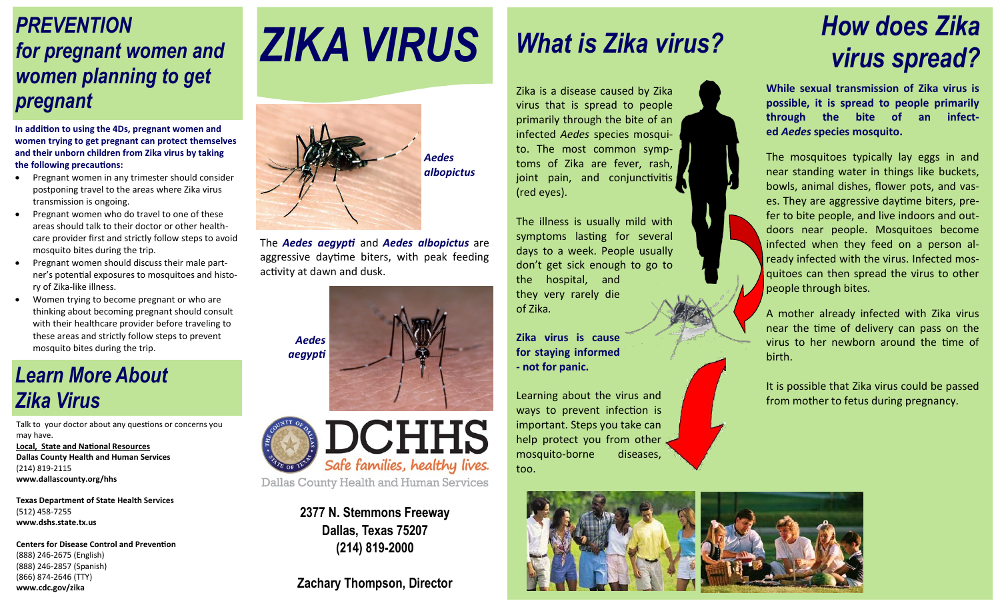### *PREVENTION for pregnant women and women planning to get pregnant*

**In addition to using the 4Ds, pregnant women and women trying to get pregnant can protect themselves and their unborn children from Zika virus by taking the following precautions:**

- Pregnant women in any trimester should consider postponing travel to the areas where Zika virus transmission is ongoing.
- Pregnant women who do travel to one of these areas should talk to their doctor or other healthcare provider first and strictly follow steps to avoid mosquito bites during the trip.
- Pregnant women should discuss their male partner's potential exposures to mosquitoes and history of Zika-like illness.
- Women trying to become pregnant or who are thinking about becoming pregnant should consult with their healthcare provider before traveling to these areas and strictly follow steps to prevent mosquito bites during the trip.

### *Learn More About Zika Virus*

Talk to your doctor about any questions or concerns you may have. **Local, State and National Resources Dallas County Health and Human Services** (214) 819-2115 **www.dallascounty.org/hhs**

**Texas Department of State Health Services** (512) 458-7255 **www.dshs.state.tx.us**

**Centers for Disease Control and Prevention** (888) 246-2675 (English) (888) 246-2857 (Spanish) (866) 874-2646 (TTY) **www.cdc.gov/zika**

# *ZIKA VIRUS*



The *Aedes aegypti* and *Aedes albopictus* are aggressive daytime biters, with peak feeding activity at dawn and dusk.





**2377 N. Stemmons Freeway Dallas, Texas 75207 (214) 819-2000**

**Zachary Thompson, Director**

# *What is Zika virus?*

Zika is a disease caused by Zika virus that is spread to people primarily through the bite of an infected *Aedes* species mosquito. The most common symptoms of Zika are fever, rash, joint pain, and conjunctivitis (red eyes).

The illness is usually mild with symptoms lasting for several days to a week. People usually don't get sick enough to go to the hospital, and they very rarely die of Zika*.*

**Zika virus is cause for staying informed - not for panic.** 

Learning about the virus and ways to prevent infection is important. Steps you take can help protect you from other mosquito-borne diseases, too.

# *How does Zika virus spread?*

**While sexual transmission of Zika virus is possible, it is spread to people primarily through the bite of an infected** *Aedes* **species mosquito.** 

The mosquitoes typically lay eggs in and near standing water in things like buckets, bowls, animal dishes, flower pots, and vases. They are aggressive daytime biters, prefer to bite people, and live indoors and outdoors near people. Mosquitoes become infected when they feed on a person already infected with the virus. Infected mosquitoes can then spread the virus to other people through bites.

A mother already infected with Zika virus near the time of delivery can pass on the virus to her newborn around the time of birth.

It is possible that Zika virus could be passed from mother to fetus during pregnancy.